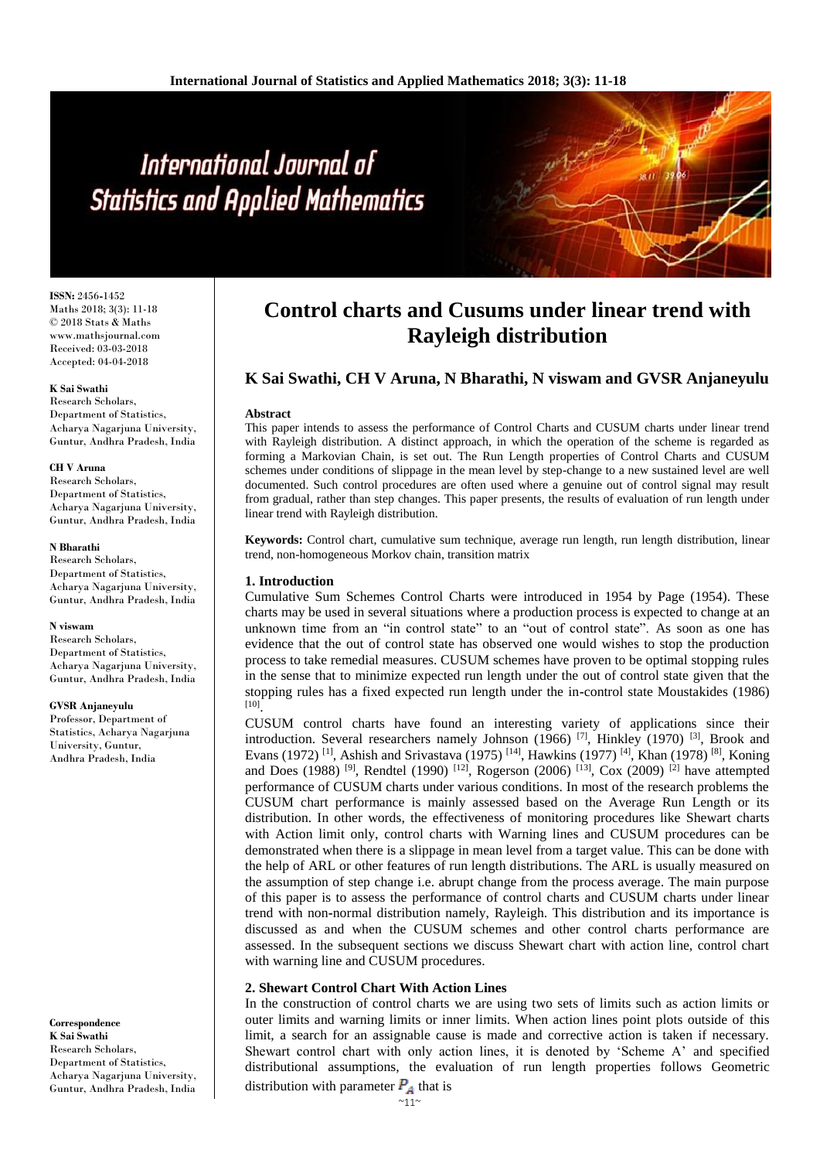# International Journal of **Statistics and Applied Mathematics**

**ISSN:** 2456**-**1452 Maths 2018; 3(3): 11-18 © 2018 Stats & Maths www.mathsjournal.com Received: 03-03-2018 Accepted: 04-04-2018

### **K Sai Swathi**

Research Scholars, Department of Statistics, Acharya Nagarjuna University, Guntur, Andhra Pradesh, India

### **CH V Aruna**

Research Scholars, Department of Statistics, Acharya Nagarjuna University, Guntur, Andhra Pradesh, India

#### **N Bharathi**

Research Scholars, Department of Statistics. Acharya Nagarjuna University, Guntur, Andhra Pradesh, India

### **N viswam**

Research Scholars, Department of Statistics, Acharya Nagarjuna University, Guntur, Andhra Pradesh, India

#### **GVSR Anjaneyulu**

Professor, Department of Statistics, Acharya Nagarjuna University, Guntur, Andhra Pradesh, India

**Correspondence K Sai Swathi** Research Scholars, Department of Statistics, Acharya Nagarjuna University, Guntur, Andhra Pradesh, India

# **Control charts and Cusums under linear trend with Rayleigh distribution**

# **K Sai Swathi, CH V Aruna, N Bharathi, N viswam and GVSR Anjaneyulu**

### **Abstract**

This paper intends to assess the performance of Control Charts and CUSUM charts under linear trend with Rayleigh distribution. A distinct approach, in which the operation of the scheme is regarded as forming a Markovian Chain, is set out. The Run Length properties of Control Charts and CUSUM schemes under conditions of slippage in the mean level by step-change to a new sustained level are well documented. Such control procedures are often used where a genuine out of control signal may result from gradual, rather than step changes. This paper presents, the results of evaluation of run length under linear trend with Rayleigh distribution.

**Keywords:** Control chart, cumulative sum technique, average run length, run length distribution, linear trend, non-homogeneous Morkov chain, transition matrix

### **1. Introduction**

Cumulative Sum Schemes Control Charts were introduced in 1954 by Page (1954). These charts may be used in several situations where a production process is expected to change at an unknown time from an "in control state" to an "out of control state". As soon as one has evidence that the out of control state has observed one would wishes to stop the production process to take remedial measures. CUSUM schemes have proven to be optimal stopping rules in the sense that to minimize expected run length under the out of control state given that the stopping rules has a fixed expected run length under the in**-**control state Moustakides (1986) [10] .

CUSUM control charts have found an interesting variety of applications since their introduction. Several researchers namely Johnson  $(1966)$  [7], Hinkley  $(1970)$  [3], Brook and Evans (1972) <sup>[1]</sup>, Ashish and Srivastava (1975) <sup>[14]</sup>, Hawkins (1977) <sup>[4]</sup>, Khan (1978) <sup>[8]</sup>, Koning and Does (1988) <sup>[9]</sup>, Rendtel (1990) <sup>[12]</sup>, Rogerson (2006) <sup>[13]</sup>, Cox (2009) <sup>[2]</sup> have attempted performance of CUSUM charts under various conditions. In most of the research problems the CUSUM chart performance is mainly assessed based on the Average Run Length or its distribution. In other words, the effectiveness of monitoring procedures like Shewart charts with Action limit only, control charts with Warning lines and CUSUM procedures can be demonstrated when there is a slippage in mean level from a target value. This can be done with the help of ARL or other features of run length distributions. The ARL is usually measured on the assumption of step change i.e. abrupt change from the process average. The main purpose of this paper is to assess the performance of control charts and CUSUM charts under linear trend with non**-**normal distribution namely, Rayleigh. This distribution and its importance is discussed as and when the CUSUM schemes and other control charts performance are assessed. In the subsequent sections we discuss Shewart chart with action line, control chart with warning line and CUSUM procedures.

### **2. Shewart Control Chart With Action Lines**

In the construction of control charts we are using two sets of limits such as action limits or outer limits and warning limits or inner limits. When action lines point plots outside of this limit, a search for an assignable cause is made and corrective action is taken if necessary. Shewart control chart with only action lines, it is denoted by 'Scheme A' and specified distributional assumptions, the evaluation of run length properties follows Geometric

distribution with parameter  $P_A$  that is

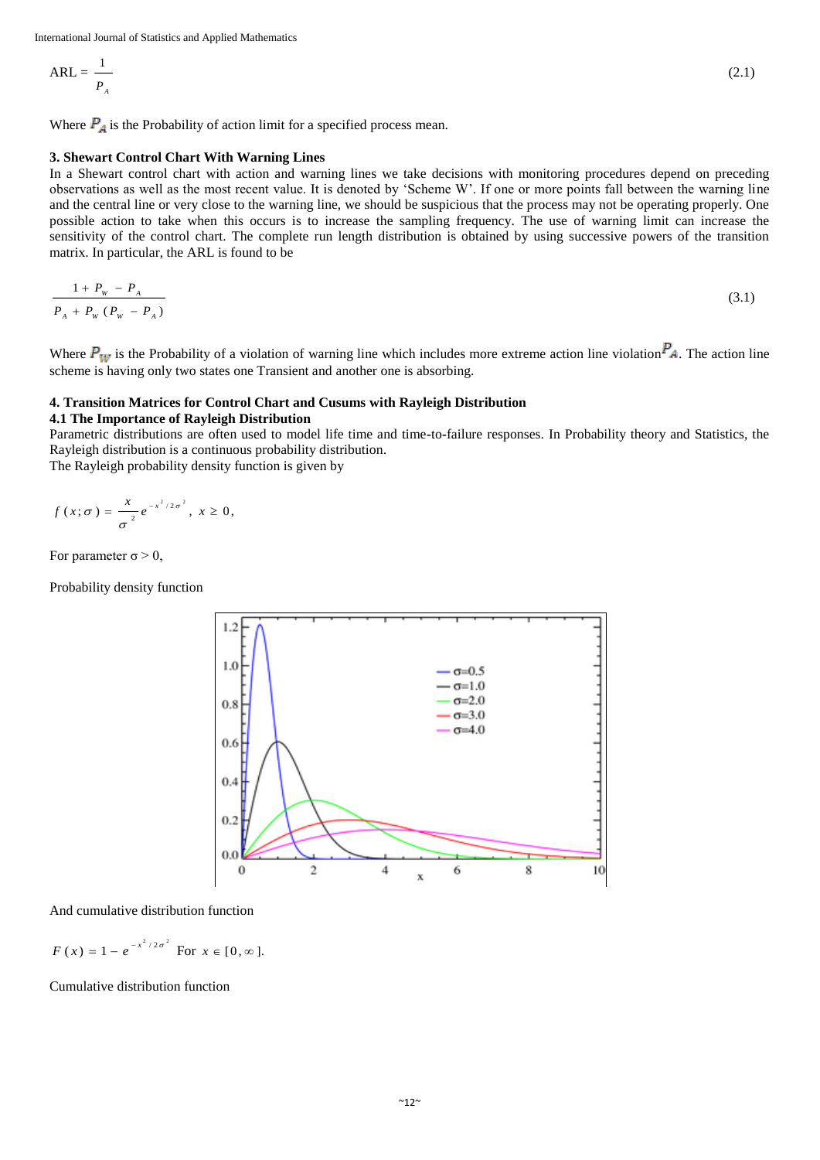$$
ARL = \frac{1}{P_A}
$$

Where  $P_A$  is the Probability of action limit for a specified process mean.

### **3. Shewart Control Chart With Warning Lines**

In a Shewart control chart with action and warning lines we take decisions with monitoring procedures depend on preceding observations as well as the most recent value. It is denoted by 'Scheme W'. If one or more points fall between the warning line and the central line or very close to the warning line, we should be suspicious that the process may not be operating properly. One possible action to take when this occurs is to increase the sampling frequency. The use of warning limit can increase the sensitivity of the control chart. The complete run length distribution is obtained by using successive powers of the transition matrix. In particular, the ARL is found to be

$$
\frac{1+P_w-P_A}{P_A+P_w(P_w-P_A)}\tag{3.1}
$$

Where  $P_W$  is the Probability of a violation of warning line which includes more extreme action line violation  $P_A$ . The action line scheme is having only two states one Transient and another one is absorbing.

# **4. Transition Matrices for Control Chart and Cusums with Rayleigh Distribution**

# **4.1 The Importance of Rayleigh Distribution**

Parametric distributions are often used to model life time and time**-**to**-**failure responses. In Probability theory and Statistics, the Rayleigh distribution is a continuous probability distribution.

The Rayleigh probability density function is given by

$$
f(x;\sigma)=\frac{x}{\sigma^2}e^{-x^2/2\sigma^2}, x\geq 0,
$$

For parameter  $\sigma > 0$ ,

Probability density function



And cumulative distribution function

$$
F(x) = 1 - e^{-x^2/2\sigma^2}
$$
 For  $x \in [0, \infty]$ .

Cumulative distribution function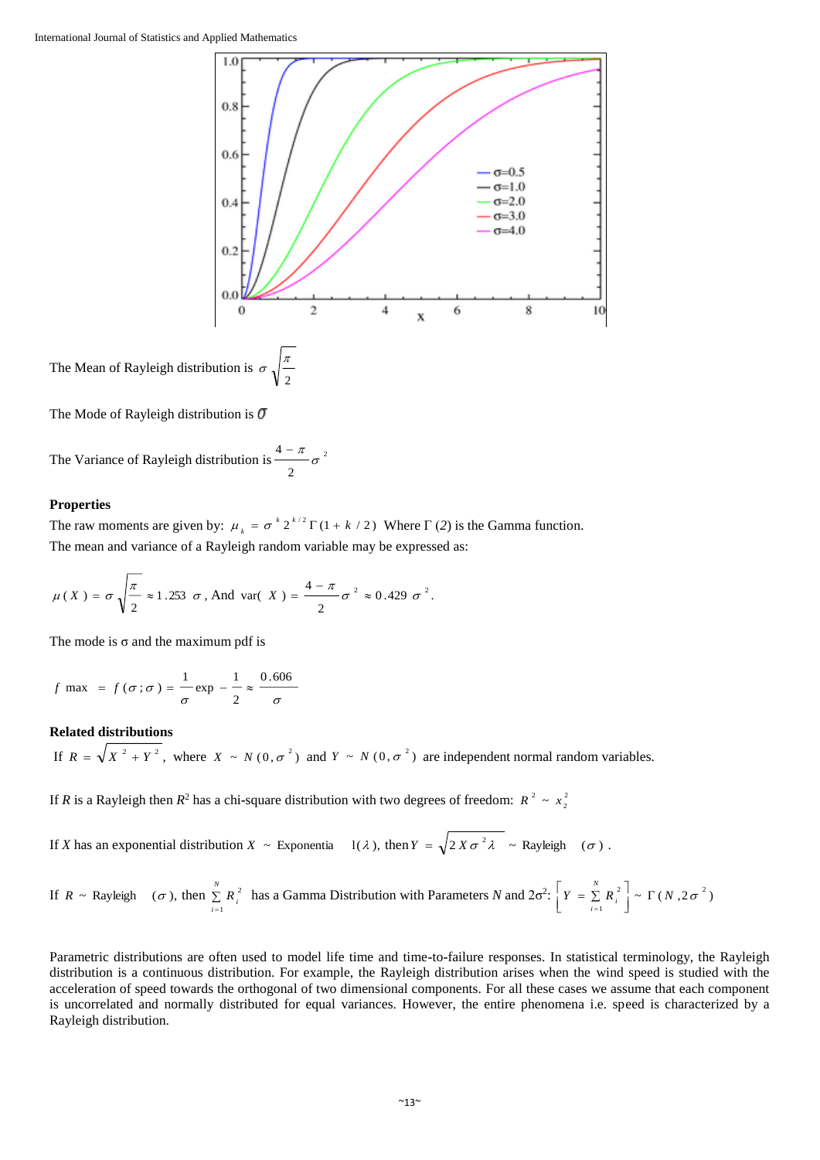

The Mean of Rayleigh distribution is  $\sigma \sqrt{\frac{2}{2}}$  $\sigma$ ,  $\frac{\pi}{2}$ 

The Mode of Rayleigh distribution is  $\sigma$ 

The Variance of Rayleigh distribution is  $\frac{1}{2}$   $\sigma^2$ 2  $\frac{4-\pi}{\sigma}$ 

### **Properties**

The raw moments are given by:  $\mu_k = \sigma^k 2^{k/2} \Gamma(1 + k/2)$  $\mu_k = \sigma^k 2^{k/2} \Gamma(1 + k/2)$  Where  $\Gamma(2)$  is the Gamma function. The mean and variance of a Rayleigh random variable may be expressed as:

$$
\mu(X) = \sigma \sqrt{\frac{\pi}{2}} \approx 1.253 \sigma, \text{ And var}(X) = \frac{4-\pi}{2} \sigma^2 \approx 0.429 \sigma^2.
$$

The mode is  $\sigma$  and the maximum pdf is

$$
f
$$
 max =  $f(\sigma; \sigma) = \frac{1}{\sigma} \exp{-\frac{1}{2}} \approx \frac{0.606}{\sigma}$ 

# **Related distributions**

If  $R = \sqrt{X^2 + Y^2}$ , where  $X \sim N(0, \sigma^2)$  and  $Y \sim N(0, \sigma^2)$  are independent normal random variables.

If *R* is a Rayleigh then  $R^2$  has a chi-square distribution with two degrees of freedom:  $R^2 \sim x_1^2$ 2  $R^2 \sim x$ 

If *X* has an exponential distribution  $X \sim$  Exponentia  $\left| (1/\lambda) \right|$ , then  $Y = \sqrt{2 X \sigma^2 \lambda} \sim$  Rayleigh ( $\sigma$ ).

If 
$$
R \sim \text{Rayleigh}
$$
  $(\sigma)$ , then  $\sum_{i=1}^{N} R_i^2$  has a Gamma Distribution with Parameters *N* and  $2\sigma^2$ :  $\left[ Y = \sum_{i=1}^{N} R_i^2 \right] \sim \Gamma(N, 2\sigma^2)$ 

Parametric distributions are often used to model life time and time**-**to**-**failure responses. In statistical terminology, the Rayleigh distribution is a continuous distribution. For example, the Rayleigh distribution arises when the wind speed is studied with the acceleration of speed towards the orthogonal of two dimensional components. For all these cases we assume that each component is uncorrelated and normally distributed for equal variances. However, the entire phenomena i.e. speed is characterized by a Rayleigh distribution.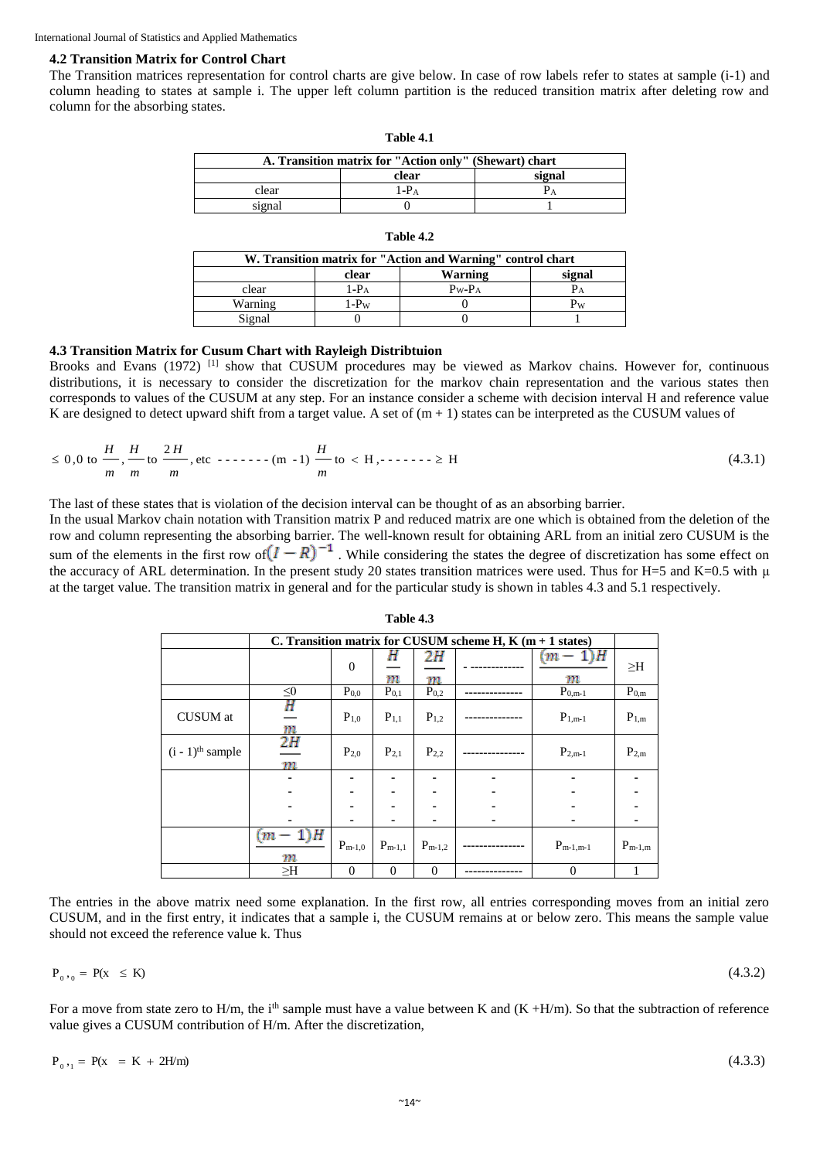### **4.2 Transition Matrix for Control Chart**

The Transition matrices representation for control charts are give below. In case of row labels refer to states at sample (i**-**1) and column heading to states at sample i. The upper left column partition is the reduced transition matrix after deleting row and column for the absorbing states.

| A. Transition matrix for "Action only" (Shewart) chart |       |        |  |  |  |  |  |  |
|--------------------------------------------------------|-------|--------|--|--|--|--|--|--|
|                                                        | clear | signal |  |  |  |  |  |  |
| clear                                                  | 1-Pa  |        |  |  |  |  |  |  |
| signal                                                 |       |        |  |  |  |  |  |  |

**Table 4.1**

| W. Transition matrix for "Action and Warning" control chart |                  |                   |        |  |  |  |  |  |  |
|-------------------------------------------------------------|------------------|-------------------|--------|--|--|--|--|--|--|
|                                                             | clear            | Warning           | signal |  |  |  |  |  |  |
| clear                                                       | 1-P <sub>A</sub> | $P_{W}$ - $P_{A}$ |        |  |  |  |  |  |  |
| Warning                                                     | 1- $P_{W}$       |                   |        |  |  |  |  |  |  |
| Signal                                                      |                  |                   |        |  |  |  |  |  |  |

### **Table 4.2**

### **4.3 Transition Matrix for Cusum Chart with Rayleigh Distribtuion**

Brooks and Evans (1972) <sup>[1]</sup> show that CUSUM procedures may be viewed as Markov chains. However for, continuous distributions, it is necessary to consider the discretization for the markov chain representation and the various states then corresponds to values of the CUSUM at any step. For an instance consider a scheme with decision interval H and reference value K are designed to detect upward shift from a target value. A set of  $(m + 1)$  states can be interpreted as the CUSUM values of

$$
\leq 0,0 \text{ to } \frac{H}{m}, \frac{H}{m} \text{ to } \frac{2H}{m}, \text{ etc } \dots \dots \dots \text{ (m - 1)} \frac{H}{m} \text{ to } < H, \dots \dots > \geq H
$$
 (4.3.1)

The last of these states that is violation of the decision interval can be thought of as an absorbing barrier.

In the usual Markov chain notation with Transition matrix P and reduced matrix are one which is obtained from the deletion of the row and column representing the absorbing barrier. The well**-**known result for obtaining ARL from an initial zero CUSUM is the sum of the elements in the first row of  $(I - R)^{-1}$ . While considering the states the degree of discretization has some effect on the accuracy of ARL determination. In the present study 20 states transition matrices were used. Thus for H=5 and K=0.5 with μ at the target value. The transition matrix in general and for the particular study is shown in tables 4.3 and 5.1 respectively.

|                                |               | C. Transition matrix for CUSUM scheme H, K $(m + 1$ states) |             |             |  |               |             |  |  |  |  |
|--------------------------------|---------------|-------------------------------------------------------------|-------------|-------------|--|---------------|-------------|--|--|--|--|
|                                |               | $\mathbf{0}$                                                | н<br>m      | 2Н<br>m     |  | $(m-1)H$<br>m | $\geq$ H    |  |  |  |  |
|                                | $\leq 0$      | $P_{0,0}$                                                   | $P_{0,1}$   | $P_{0,2}$   |  | $P_{0,m-1}$   | $P_{0,m}$   |  |  |  |  |
| <b>CUSUM</b> at                | Η<br>m        | $P_{1,0}$                                                   | $P_{1,1}$   | $P_{1,2}$   |  | $P_{1,m-1}$   | $P_{1,m}$   |  |  |  |  |
| $(i - 1)$ <sup>th</sup> sample | 2H<br>m       | $P_{2,0}$                                                   | $P_{2,1}$   | $P_{2,2}$   |  | $P_{2,m-1}$   | $P_{2,m}$   |  |  |  |  |
|                                | ۰             | ۰                                                           |             |             |  |               |             |  |  |  |  |
|                                |               |                                                             |             |             |  |               |             |  |  |  |  |
|                                |               |                                                             |             |             |  |               |             |  |  |  |  |
|                                |               |                                                             |             |             |  |               |             |  |  |  |  |
|                                | $(m-1)H$<br>m | $P_{m-1,0}$                                                 | $P_{m-1,1}$ | $P_{m-1,2}$ |  | $P_{m-1,m-1}$ | $P_{m-1,m}$ |  |  |  |  |
|                                | $\geq$ H      | $\Omega$                                                    | $\Omega$    | $\theta$    |  | $\theta$      | 1           |  |  |  |  |

**Table 4.3**

The entries in the above matrix need some explanation. In the first row, all entries corresponding moves from an initial zero CUSUM, and in the first entry, it indicates that a sample i, the CUSUM remains at or below zero. This means the sample value should not exceed the reference value k. Thus

$$
\mathbf{P}_{0}, \, \mathbf{Q} = \mathbf{P}(\mathbf{X} \leq \mathbf{K})
$$

For a move from state zero to H/m, the i<sup>th</sup> sample must have a value between K and  $(K + H/m)$ . So that the subtraction of reference value gives a CUSUM contribution of H/m. After the discretization,

$$
P_{0,1} = P(X = K + 2H/m)
$$

 $(4.3.3)$ 

(4.3.2)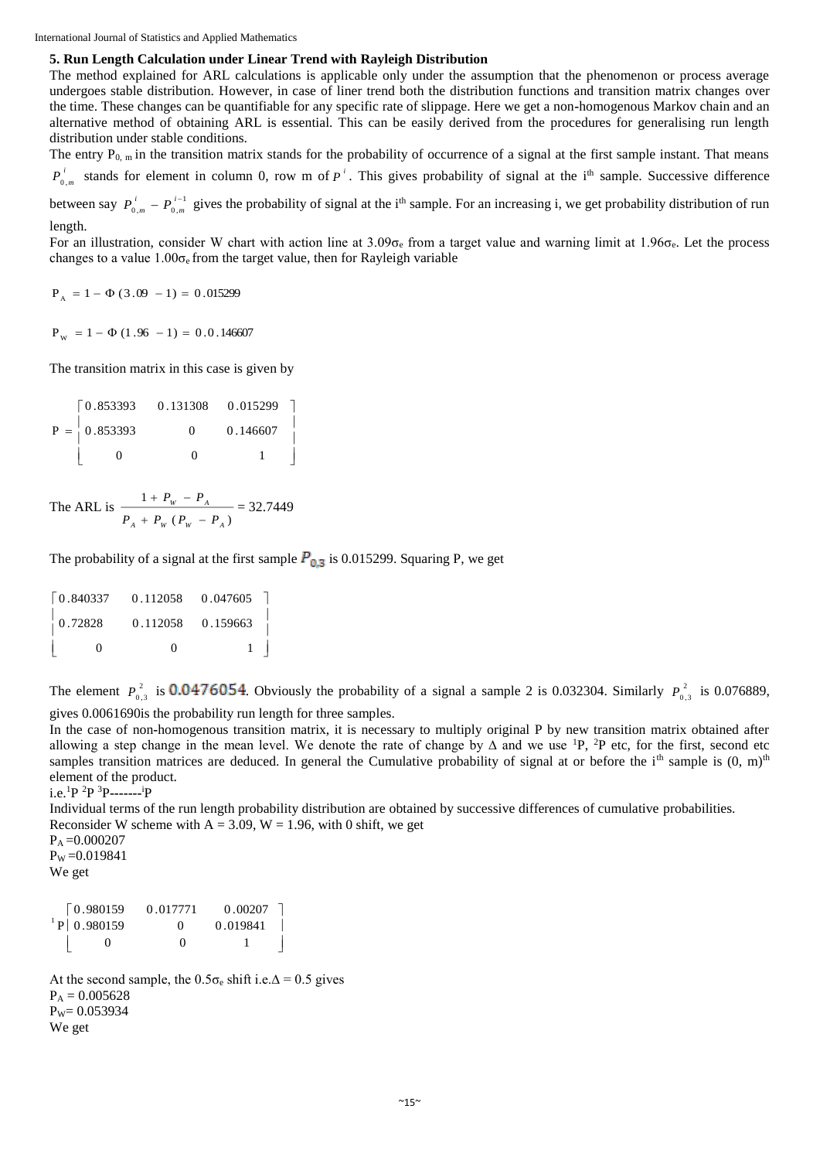International Journal of Statistics and Applied Mathematics

# **5. Run Length Calculation under Linear Trend with Rayleigh Distribution**

The method explained for ARL calculations is applicable only under the assumption that the phenomenon or process average undergoes stable distribution. However, in case of liner trend both the distribution functions and transition matrix changes over the time. These changes can be quantifiable for any specific rate of slippage. Here we get a non**-**homogenous Markov chain and an alternative method of obtaining ARL is essential. This can be easily derived from the procedures for generalising run length distribution under stable conditions.

The entry  $P_{0,m}$  in the transition matrix stands for the probability of occurrence of a signal at the first sample instant. That means *i*  $P_{0,m}^{i}$  stands for element in column 0, row m of  $P^i$ . This gives probability of signal at the i<sup>th</sup> sample. Successive difference

between say  $P_{0,m}^{i} - P_{0,m}^{i-1}$  $P_{0,m}^{i} - P_{0,m}^{i-1}$ *m*  $P_{0,m}^{\prime} - P_{0,m}^{\prime-1}$  gives the probability of signal at the i<sup>th</sup> sample. For an increasing i, we get probability distribution of run length.

For an illustration, consider W chart with action line at  $3.09\sigma_{\rm e}$  from a target value and warning limit at  $1.96\sigma_{\rm e}$ . Let the process changes to a value  $1.00\sigma_{\rm e}$  from the target value, then for Rayleigh variable

 $P_A = 1 - \Phi(3.09 - 1) = 0.015299$ 

 $P_{\text{w}}$  = 1 –  $\Phi$  (1.96 – 1) = 0.0.146607

The transition matrix in this case is given by

|                                                 | $\begin{bmatrix} 0.853393 & 0.131308 & 0.015299 \end{bmatrix}$ |          |  |
|-------------------------------------------------|----------------------------------------------------------------|----------|--|
| $P = \begin{matrix} 1 \\ 0.853393 \end{matrix}$ | $^{\circ}$                                                     | 0.146607 |  |
|                                                 |                                                                |          |  |

The ARL is  $(P_{\rm uv} - P_{\rm v})$ 1 *A W W A W A P P P P P*  $= P$  $+ P_{\rm m} (P_{\rm m} +\frac{P_w - P_A}{4}$  = 32.7449

The probability of a signal at the first sample  $P_{0,3}$  is 0.015299. Squaring P, we get

| $\begin{bmatrix} 0.840337 & 0.112058 & 0.047605 \end{bmatrix}$    |       |           |
|-------------------------------------------------------------------|-------|-----------|
| $\begin{array}{cccccc} 0.72828 & 0.112058 & 0.159663 \end{array}$ |       |           |
| $\Omega$                                                          | $\lq$ | $1 \quad$ |

The element  $P_0^2$  $P_{0,3}^2$  is 0.0476054. Obviously the probability of a signal a sample 2 is 0.032304. Similarly  $P_{0,3}^2$  $P_{0,3}^2$  is 0.076889, gives 0.0061690is the probability run length for three samples.

In the case of non**-**homogenous transition matrix, it is necessary to multiply original P by new transition matrix obtained after allowing a step change in the mean level. We denote the rate of change by  $\Delta$  and we use <sup>1</sup>P, <sup>2</sup>P etc, for the first, second etc samples transition matrices are deduced. In general the Cumulative probability of signal at or before the i<sup>th</sup> sample is  $(0, m)$ <sup>th</sup> element of the product.

```
i.e.1P 2P 3P-------
iP
```
Individual terms of the run length probability distribution are obtained by successive differences of cumulative probabilities. Reconsider W scheme with  $A = 3.09$ ,  $W = 1.96$ , with 0 shift, we get

 $P_A = 0.000207$  $P_W = 0.019841$ 

We get

| 0.980159   | 0.017771          | 0.00207  |  |
|------------|-------------------|----------|--|
| P 0.980159 | $\mathbf{\Omega}$ | 0.019841 |  |
|            | $\mathbf{\Omega}$ |          |  |

At the second sample, the  $0.5\sigma_e$  shift i.e. $\Delta = 0.5$  gives  $P_A = 0.005628$  $P_W = 0.053934$ We get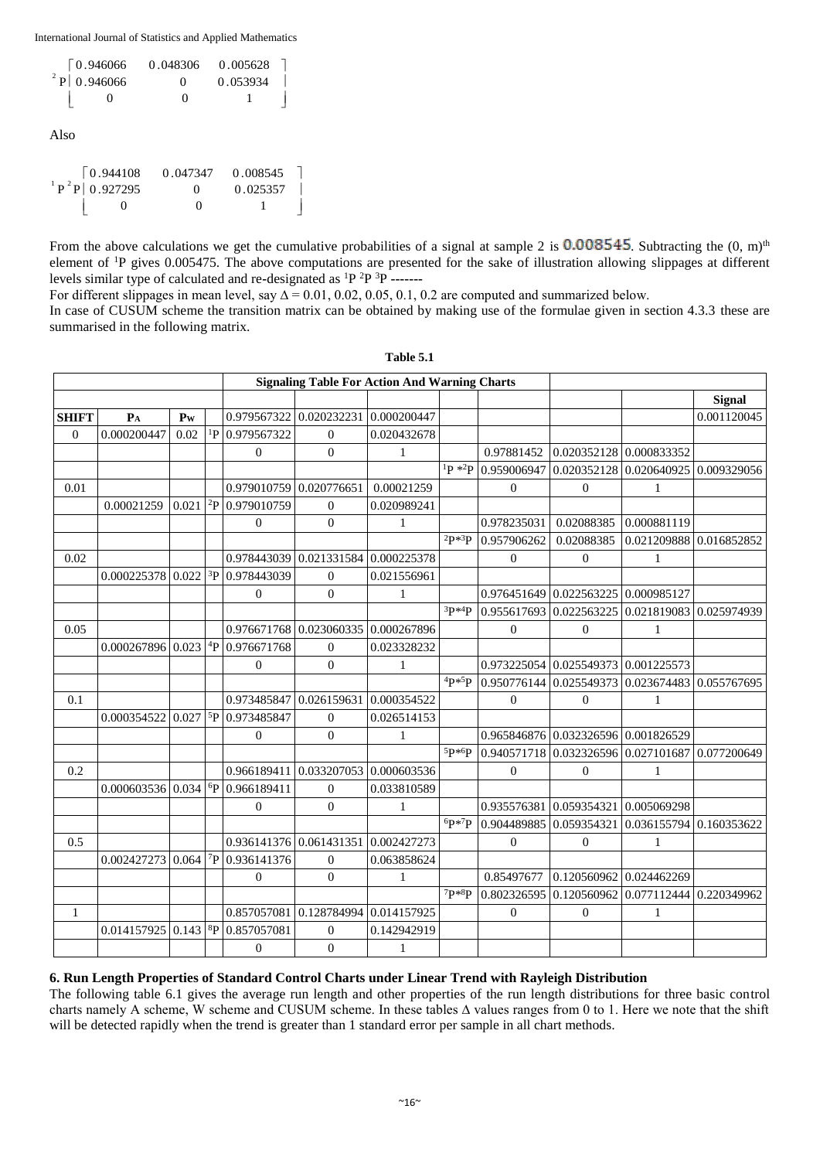International Journal of Statistics and Applied Mathematics

| $\sqrt{0.946066}$ | 0.048306          | 0.005628 |  |
|-------------------|-------------------|----------|--|
| $2$ P   0.946066  | $\mathbf{\Omega}$ | 0.053934 |  |
| $\mathbf{\Omega}$ | $\mathbf{\Omega}$ |          |  |

Also

| $\big  0.944108 \big $ | 0.047347          | 0.008545 |  |
|------------------------|-------------------|----------|--|
| $^{1}P^{2}P 0.927295$  | $^{\circ}$        | 0.025357 |  |
|                        | $\mathbf{\Omega}$ |          |  |

From the above calculations we get the cumulative probabilities of a signal at sample 2 is  $0.008545$ . Subtracting the  $(0, m)$ <sup>th</sup> element of <sup>1</sup>P gives 0.005475. The above computations are presented for the sake of illustration allowing slippages at different levels similar type of calculated and re**-**designated as <sup>1</sup>P <sup>2</sup>P <sup>3</sup>P **-------**

For different slippages in mean level, say  $\Delta$  = 0.01, 0.02, 0.05, 0.1, 0.2 are computed and summarized below.

In case of CUSUM scheme the transition matrix can be obtained by making use of the formulae given in section 4.3.3 these are summarised in the following matrix.

|              |                                                      |                |                     |                                    |                                     | <b>Signaling Table For Action And Warning Charts</b> |                             |                         |                                     |                                                 |               |
|--------------|------------------------------------------------------|----------------|---------------------|------------------------------------|-------------------------------------|------------------------------------------------------|-----------------------------|-------------------------|-------------------------------------|-------------------------------------------------|---------------|
|              |                                                      |                |                     |                                    |                                     |                                                      |                             |                         |                                     |                                                 | <b>Signal</b> |
| <b>SHIFT</b> | $P_A$                                                | P <sub>W</sub> |                     |                                    | 0.979567322 0.020232231 0.000200447 |                                                      |                             |                         |                                     |                                                 | 0.001120045   |
| $\theta$     | 0.000200447                                          | 0.02           |                     | $^{1}P$ 0.979567322                | $\Omega$                            | 0.020432678                                          |                             |                         |                                     |                                                 |               |
|              |                                                      |                |                     | $\Omega$                           | $\mathbf{0}$                        | $\mathbf{1}$                                         |                             | 0.97881452              | 0.020352128                         | 0.000833352                                     |               |
|              |                                                      |                |                     |                                    |                                     |                                                      | $1\mathbf{p} * 2\mathbf{p}$ | 0.959006947             |                                     | $0.020352128$ 0.020640925 0.009329056           |               |
| 0.01         |                                                      |                |                     | 0.979010759 0.020776651            |                                     | 0.00021259                                           |                             | $\boldsymbol{0}$        | $\mathbf{0}$                        | 1                                               |               |
|              | 0.00021259                                           |                |                     | $0.021$ <sup>2</sup> P 0.979010759 | $\Omega$                            | 0.020989241                                          |                             |                         |                                     |                                                 |               |
|              |                                                      |                |                     | $\mathbf{0}$                       | $\mathbf{0}$                        | $\mathbf{1}$                                         |                             | 0.978235031             | 0.02088385                          | 0.000881119                                     |               |
|              |                                                      |                |                     |                                    |                                     |                                                      | $^{2}P*^{3}P$               | 0.957906262             | 0.02088385                          | 0.021209888 0.016852852                         |               |
| 0.02         |                                                      |                |                     | 0.978443039                        | $0.021331584$ 0.000225378           |                                                      |                             | $\boldsymbol{0}$        | $\mathbf{0}$                        | 1                                               |               |
|              | $0.000225378$ 0.022 $\frac{3}{2}$ 0.978443039        |                |                     |                                    | $\overline{0}$                      | 0.021556961                                          |                             |                         |                                     |                                                 |               |
|              |                                                      |                |                     | $\Omega$                           | $\mathbf{0}$                        | $\mathbf{1}$                                         |                             |                         | 0.976451649 0.022563225             | 0.000985127                                     |               |
|              |                                                      |                |                     |                                    |                                     |                                                      | $3P*4P$                     |                         | 0.955617693 0.022563225             | 0.021819083 0.025974939                         |               |
| 0.05         |                                                      |                |                     |                                    | 0.976671768 0.023060335 0.000267896 |                                                      |                             | $\boldsymbol{0}$        | $\mathbf{0}$                        | 1                                               |               |
|              | $0.000267896 0.023 ^{4}P 0.976671768$                |                |                     |                                    | $\mathbf{0}$                        | 0.023328232                                          |                             |                         |                                     |                                                 |               |
|              |                                                      |                |                     | $\Omega$                           | $\mathbf{0}$                        | $\mathbf{1}$                                         |                             |                         | 0.973225054 0.025549373 0.001225573 |                                                 |               |
|              |                                                      |                |                     |                                    |                                     |                                                      | $4P*5P$                     |                         | 0.950776144 0.025549373             | 0.023674483 0.055767695                         |               |
| 0.1          |                                                      |                |                     | 0.973485847 0.026159631            |                                     | 0.000354522                                          |                             | $\boldsymbol{0}$        | $\mathbf{0}$                        | 1                                               |               |
|              | $0.000354522   0.027  $ <sup>5</sup> P 0.973485847   |                |                     |                                    | $\overline{0}$                      | 0.026514153                                          |                             |                         |                                     |                                                 |               |
|              |                                                      |                |                     | $\Omega$                           | $\mathbf{0}$                        | $\mathbf{1}$                                         |                             |                         | 0.965846876 0.032326596 0.001826529 |                                                 |               |
|              |                                                      |                |                     |                                    |                                     |                                                      | 5p*6p                       |                         |                                     | 0.940571718 0.032326596 0.027101687 0.077200649 |               |
| 0.2          |                                                      |                |                     | 0.966189411                        |                                     | $0.033207053$ 0.000603536                            |                             | $\boldsymbol{0}$        | $\mathbf{0}$                        | 1                                               |               |
|              | $0.000603536$ 0.034 [ <sup>6</sup> P 0.966189411]    |                |                     |                                    | $\overline{0}$                      | 0.033810589                                          |                             |                         |                                     |                                                 |               |
|              |                                                      |                |                     | $\Omega$                           | $\Omega$                            | $\mathbf{1}$                                         |                             | 0.935576381 0.059354321 |                                     | 0.005069298                                     |               |
|              |                                                      |                |                     |                                    |                                     |                                                      | 6p*7p                       |                         | 0.904489885 0.059354321             | 0.036155794 0.160353622                         |               |
| 0.5          |                                                      |                |                     | 0.936141376 0.061431351            |                                     | 0.002427273                                          |                             | $\mathbf{0}$            | $\mathbf{0}$                        | 1                                               |               |
|              | 0.002427273                                          | 0.064          | $\gamma_{\text{P}}$ | 0.936141376                        | $\mathbf{0}$                        | 0.063858624                                          |                             |                         |                                     |                                                 |               |
|              |                                                      |                |                     | $\Omega$                           | $\Omega$                            | $\mathbf{1}$                                         |                             | 0.85497677              | 0.120560962 0.024462269             |                                                 |               |
|              |                                                      |                |                     |                                    |                                     |                                                      | $7p*8p$                     |                         | 0.802326595 0.120560962             | 0.077112444 0.220349962                         |               |
| 1            |                                                      |                |                     | 0.857057081                        | 0.128784994 0.014157925             |                                                      |                             | $\theta$                | $\mathbf{0}$                        | $\mathbf{1}$                                    |               |
|              | $0.014157925 \mid 0.143 \mid ^{8}P \mid 0.857057081$ |                |                     |                                    | $\mathbf{0}$                        | 0.142942919                                          |                             |                         |                                     |                                                 |               |
|              |                                                      |                |                     | $\mathbf{0}$                       | $\mathbf{0}$                        | $\mathbf{1}$                                         |                             |                         |                                     |                                                 |               |

**Table 5.1**

# **6. Run Length Properties of Standard Control Charts under Linear Trend with Rayleigh Distribution**

The following table 6.1 gives the average run length and other properties of the run length distributions for three basic control charts namely A scheme, W scheme and CUSUM scheme. In these tables ∆ values ranges from 0 to 1. Here we note that the shift will be detected rapidly when the trend is greater than 1 standard error per sample in all chart methods.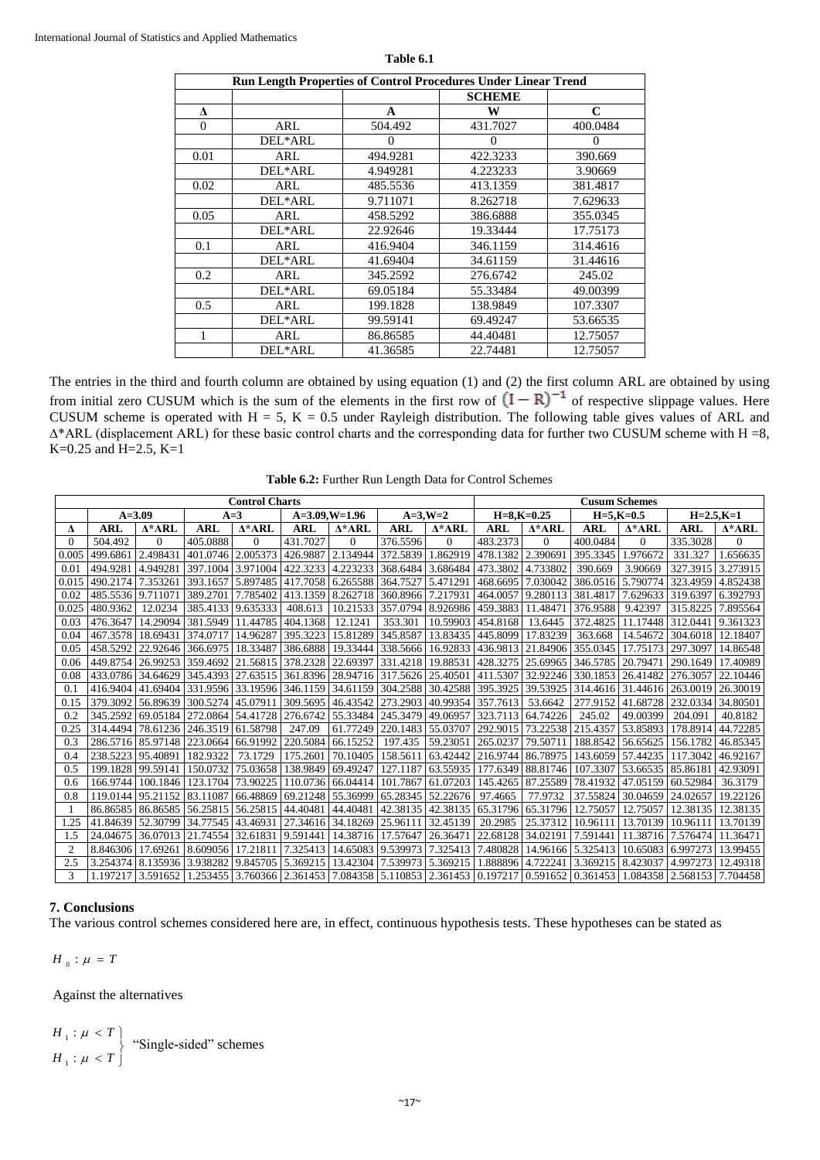| Run Length Properties of Control Procedures Under Linear Trend |         |          |               |             |  |  |  |  |  |
|----------------------------------------------------------------|---------|----------|---------------|-------------|--|--|--|--|--|
|                                                                |         |          | <b>SCHEME</b> |             |  |  |  |  |  |
| $\Lambda$                                                      |         | A        | W             | $\mathbf C$ |  |  |  |  |  |
| $\Omega$                                                       | ARL     | 504.492  | 431.7027      | 400.0484    |  |  |  |  |  |
|                                                                | DEL*ARL | $\Omega$ | $\Omega$      | $\Omega$    |  |  |  |  |  |
| 0.01                                                           | ARL     | 494.9281 | 422.3233      | 390.669     |  |  |  |  |  |
|                                                                | DEL*ARL | 4.949281 | 4.223233      | 3.90669     |  |  |  |  |  |
| 0.02                                                           | ARL     | 485.5536 | 413.1359      | 381.4817    |  |  |  |  |  |
|                                                                | DEL*ARL | 9.711071 | 8.262718      | 7.629633    |  |  |  |  |  |
| 0.05                                                           | ARL     | 458.5292 | 386.6888      | 355.0345    |  |  |  |  |  |
|                                                                | DEL*ARL | 22.92646 | 19.33444      | 17.75173    |  |  |  |  |  |
| 0.1                                                            | ARL     | 416.9404 | 346.1159      | 314.4616    |  |  |  |  |  |
|                                                                | DEL*ARL | 41.69404 | 34.61159      | 31.44616    |  |  |  |  |  |
| 0.2                                                            | ARL     | 345.2592 | 276.6742      | 245.02      |  |  |  |  |  |
|                                                                | DEL*ARL | 69.05184 | 55.33484      | 49.00399    |  |  |  |  |  |
| 0.5                                                            | ARL     | 199.1828 | 138.9849      | 107.3307    |  |  |  |  |  |
|                                                                | DEL*ARL | 99.59141 | 69.49247      | 53.66535    |  |  |  |  |  |
| 1                                                              | ARL     | 86.86585 | 44.40481      | 12.75057    |  |  |  |  |  |
|                                                                | DEL*ARL | 41.36585 | 22.74481      | 12.75057    |  |  |  |  |  |

**Table 6.1**

The entries in the third and fourth column are obtained by using equation (1) and (2) the first column ARL are obtained by using from initial zero CUSUM which is the sum of the elements in the first row of  $(I - R)^{-1}$  of respective slippage values. Here CUSUM scheme is operated with  $H = 5$ ,  $K = 0.5$  under Rayleigh distribution. The following table gives values of ARL and ∆\*ARL (displacement ARL) for these basic control charts and the corresponding data for further two CUSUM scheme with H =8, K=0.25 and H=2.5, K=1

**Table 6.2:** Further Run Length Data for Control Schemes

|            | <b>Control Charts</b> |                   |            |                  |                   |                            |                   |                |                                                                | <b>Cusum Schemes</b> |                   |                   |                                     |               |  |
|------------|-----------------------|-------------------|------------|------------------|-------------------|----------------------------|-------------------|----------------|----------------------------------------------------------------|----------------------|-------------------|-------------------|-------------------------------------|---------------|--|
| $A = 3.09$ |                       | $A=3$             |            | $A=3.09, W=1.96$ |                   |                            | $A=3.W=2$         |                | $H = 8$ , $K = 0.25$                                           |                      | $H = 5, K = 0.5$  |                   | $H = 2.5, K = 1$                    |               |  |
| Δ          | <b>ARL</b>            | $\Lambda^*ARL$    | <b>ARL</b> | $\Delta^*ARL$    | <b>ARL</b>        | $\Delta$ *ARL              | <b>ARL</b>        | $\Lambda$ *ARL | ARL                                                            | $\Delta^*ARL$        | <b>ARL</b>        | $\Delta^*ARL$     | <b>ARL</b>                          | $\Delta$ *ARL |  |
| $\Omega$   | 504.492               | 0                 | 405.0888   | $\Omega$         | 431.7027          | $\Omega$                   | 376.5596          | $\mathbf{0}$   | 483.2373                                                       | $\Omega$             | 400.0484          | $\Omega$          | 335.3028                            | 0             |  |
| 0.005      | 499.6861              | 2.498431          | 401.0746   | 2.005373         | 426.9887          | 2.134944                   | 372.5839          | 1.862919       | 478.1382                                                       | 2.390691             | 395.3345          | 1.976672          | 331.327                             | 1.656635      |  |
| 0.01       | 494.9281              | 4.949281          | 397.1004   | 3.971004         | 422.3233          | 4.223233                   | 368.6484          | 3.686484       | 473.3802                                                       | 4.733802             | 390.669           | 3.90669           | 327.3915                            | 3.273915      |  |
| 0.015      | 490.2174              | 7.353261          | 393.1657   | 5.897485         | 417.7058          | 6.265588                   | 364.7527          | 5.471291       | 468.6695                                                       | 7.030042             | 386.0516 5.790774 |                   | 323.4959                            | 4.852438      |  |
| 0.02       | 485.5536              | 9.71107           | 389.2701   | 7.785402         | 413.1359          | 8.262718                   | 360.8966          | 7.217931       | 464.0057                                                       | 9.280113             | 381.4817          | 7.629633          | 319.6397                            | 6.392793      |  |
| 0.025      | 480.9362              | 12.0234           | 385.4133   | 9.635333         | 408.613           | 10.21533                   | 357.0794          | 8.926986       | 459.3883                                                       | 11.48471             | 376.9588          | 9.42397           | 315.8225                            | 7.895564      |  |
| 0.03       | 476.3647              | 14.29094          | 381.5949   | 11.44785         | 404.1368          | 12.1241                    | 353.301           | 10.59903       | 454.8168                                                       | 13.6445              | 372.4825          | 11.17448          | 312.0441                            | 9.361323      |  |
| 0.04       | 467.3578              | 18.69431          | 374,0717   | 14.96287         | 395.3223          | 15.81289                   | 345.8587          | 13.83435       | 445.8099                                                       | 17.83239             | 363.668           | 14.54672          | 304.6018                            | 12.18407      |  |
| 0.05       | 458.5292              | 22.92646          | 366.6975   | 18.33487         | 386.6888          | 19.33444                   | 338.5666          | 16.92833       | 436.9813                                                       | 21.84906             | 355.0345          | 17.75173          | 297.3097                            | 14.86548      |  |
| 0.06       | 449.8754              | 26.99253          | 359.4692   | 21.56815         | 378.2328 22.69397 |                            | 331.4218          | 19.88531       | 428.3275                                                       | 25.69965             | 346.5785          | 20.79471          | 290.1649                            | 17.40989      |  |
| 0.08       | 433.0786              | 34.64629          | 345.4393   | 27.63515         | 361.8396          | 28.94716                   | 317.5626          | 25.40501       | 411.5307                                                       | 32.92246             | 330.1853          | 26.41482          | 276.3057                            | 22.10446      |  |
| 0.1        | 416.9404              | 41.69404          | 331.9596   | 33.19596         | 346.1159 34.61159 |                            | 304.2588          | 30.42588       | 395.3925                                                       | 39.53925             | 314.4616 31.44616 |                   | 263.0019                            | 26.30019      |  |
| 0.15       | 379.3092              | 56.89639          | 300.5274   | 45.07911         | 309.5695          | 46.43542                   | 273.2903          | 40.99354       | 357.7613                                                       | 53.6642              | 277.9152          | 41.68728          | 232.0334                            | 34.80501      |  |
| 0.2        | 345.2592              | 69.05184          | 272.0864   | 54.41728         | 276.6742          | 55.33484   245.3479        |                   | 49.06957       | 323.7113                                                       | 64.74226             | 245.02            | 49.00399          | 204.091                             | 40.8182       |  |
| 0.25       | 314.4494              | 78.61236          | 246.3519   | 61.58798         | 247.09            | 61.77249                   | 220.1483          | 55.03707       | 292.9015                                                       | 73.22538             | 215.4357          | 53.85893          | 178.8914                            | 44.72285      |  |
| 0.3        | 286.5716              | 85.97148          | 223.0664   | 66.91992         | 220.5084          | 66.15252                   | 197.435           | 59.23051       | 265.0237                                                       | 79.50711             | 188.8542          | 56.65625          | 156.1782                            | 46.85345      |  |
| 0.4        | 238.5223              | 95.40891          | 182.9322   | 73.1729          | 175.2601          | 70.10405                   | 158.5611          | 63.42442       | 216.9744                                                       | 86.78975             |                   | 143.6059 57.44235 | 117.3042                            | 46.92167      |  |
| 0.5        | 199.1828              | 99.59141          | 150.0732   | 75.03658         | 138.9849          | 69.49247                   | 127.1187          | 63.55935       | 177.6349                                                       | 88.81746             | 107.3307          | 53.66535          | 85.86181                            | 42.93091      |  |
| 0.6        | 166.9744              | 100.1846          | 123.1704   | 73.90225         | 110.0736          | 66.04414                   | 101.7867          | 61.07203       | 145.4265                                                       | 87.25589             | 78.41932          | 47.05159          | 60.52984                            | 36.3179       |  |
| 0.8        | 119.0144              | 95.21152          | 83.11087   | 66.48869         | 69.21248          | 55.36999                   | 65.28345          | 52.22676       | 97.4665                                                        | 77.9732              | 37.55824          | 30.04659          | 24.02657                            | 19.22126      |  |
|            | 86.86585 86.86585     |                   | 56.25815   | 56.25815         | 44.40481          | 44.40481                   | 42.38135          | 42.38135       | 65.31796                                                       | 65.31796             | 12.75057          | 12.75057          | 12.38135                            | 12.38135      |  |
| 1.25       | 41.84639              | 152.30799         | 34.77545   | 43.46931         |                   | 27.34616 34.18269 25.96111 |                   | 32.45139       | 20.2985                                                        | 25.37312             | 10.96111          | 13.70139          | 10.96111                            | 13.70139      |  |
| 1.5        | 24.04675              | 36.07013          | 21.74554   | 32.61831         | 9.591441          | 14.38716                   | 17.57647          | 26.36471       | 22.68128                                                       | 34.02191             | 7.591441          | 11.38716          | 7.576474                            | 11.36471      |  |
| 2          | 8.846306              | 17.69261          | 8.609056   | 17.21811         | 7.325413          |                            | 14.65083 9.539973 | 7.325413       | 7.480828                                                       |                      | 14.96166 5.325413 | 10.65083          | 6.997273                            | 13.99455      |  |
| 2.5        | 3.254374              | 8.135936          | 3.938282   | 9.845705         | 5.369215          | 13.42304                   | 7.539973          | 5.369215       | 1.888896                                                       | 4.722241             | 3.369215          | 8.423037          | 4.997273                            | 12.49318      |  |
| 3          |                       | 1.197217 3.591652 |            |                  |                   |                            |                   |                | 1.253455 3.760366 2.361453 7.084358 5.110853 2.361453 0.197217 |                      |                   |                   | 0.591652 0.361453 1.084358 2.568153 | 7.704458      |  |

### **7. Conclusions**

The various control schemes considered here are, in effect, continuous hypothesis tests. These hypotheses can be stated as

*H*<sub>0</sub> :  $\mu = T$ 

Against the alternatives

$$
\begin{cases}\nH_1: \mu < T \\
H_1: \mu < T\n\end{cases}
$$
\n"Single-sided" schemes